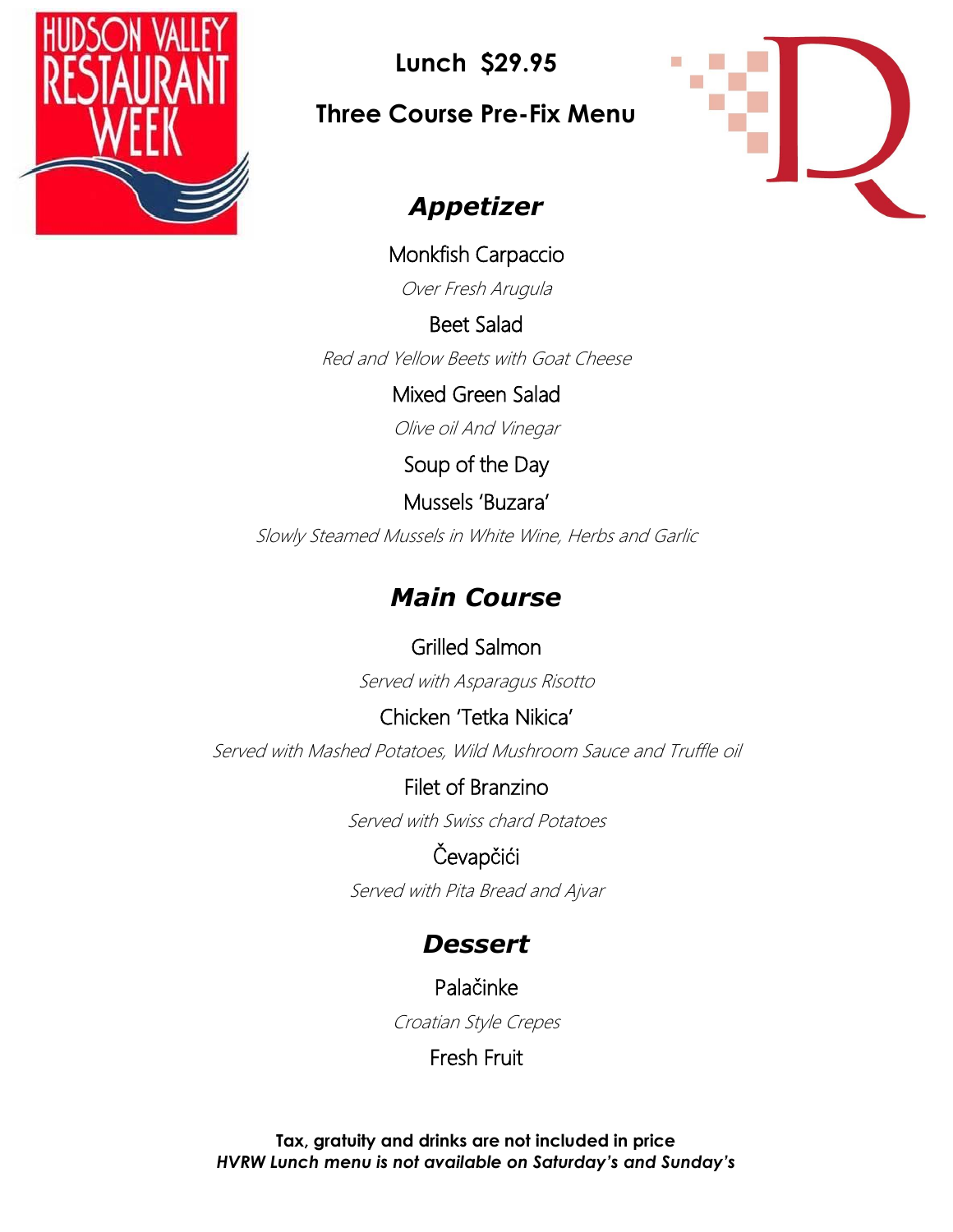

**Lunch \$29.95**

**Three Course Pre-Fix Menu**



## *Appetizer*

Monkfish Carpaccio

Over Fresh Arugula

Beet Salad

Red and Yellow Beets with Goat Cheese

Mixed Green Salad

Olive oil And Vinegar

Soup of the Day

Mussels 'Buzara'

Slowly Steamed Mussels in White Wine, Herbs and Garlic

# *Main Course*

Grilled Salmon Served with Asparagus Risotto

Chicken 'Tetka Nikica' Served with Mashed Potatoes, Wild Mushroom Sauce and Truffle oil

> Filet of Branzino Served with Swiss chard Potatoes

Čevapčići Served with Pita Bread and Ajvar

## *Dessert*

Palačinke

Croatian Style Crepes

Fresh Fruit

**Tax, gratuity and drinks are not included in price** *HVRW Lunch menu is not available on Saturday's and Sunday's*